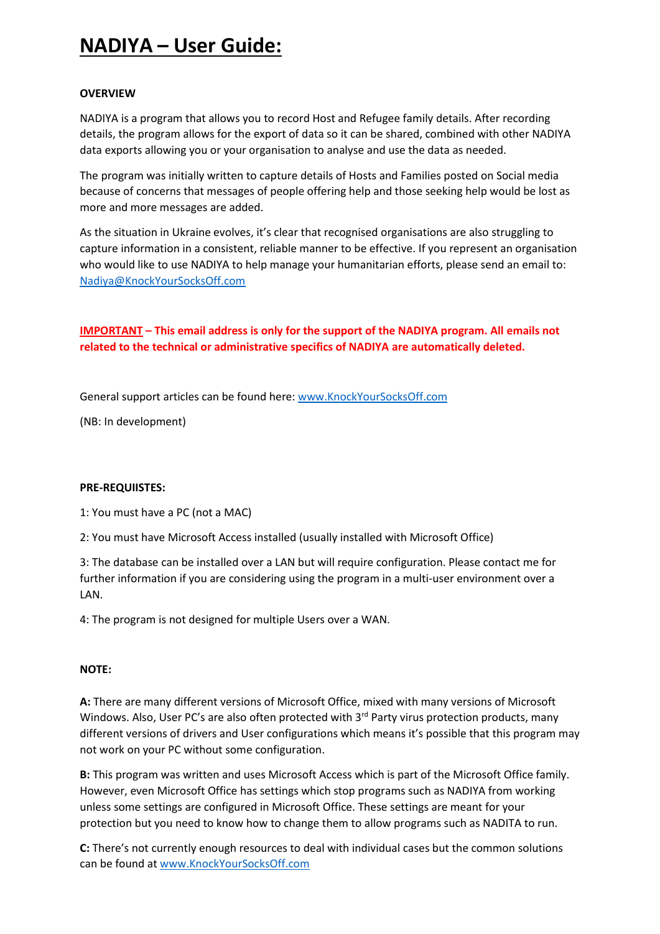# **NADIYA – User Guide:**

# **OVERVIEW**

NADIYA is a program that allows you to record Host and Refugee family details. After recording details, the program allows for the export of data so it can be shared, combined with other NADIYA data exports allowing you or your organisation to analyse and use the data as needed.

The program was initially written to capture details of Hosts and Families posted on Social media because of concerns that messages of people offering help and those seeking help would be lost as more and more messages are added.

As the situation in Ukraine evolves, it's clear that recognised organisations are also struggling to capture information in a consistent, reliable manner to be effective. If you represent an organisation who would like to use NADIYA to help manage your humanitarian efforts, please send an email to: [Nadiya@KnockYourSocksOff.com](mailto:Nadiya@KnockYourSocksOff.com)

**IMPORTANT – This email address is only for the support of the NADIYA program. All emails not related to the technical or administrative specifics of NADIYA are automatically deleted.**

General support articles can be found here: [www.KnockYourSocksOff.com](http://www.knockyoursocksoff.com/)

(NB: In development)

# **PRE-REQUIISTES:**

1: You must have a PC (not a MAC)

2: You must have Microsoft Access installed (usually installed with Microsoft Office)

3: The database can be installed over a LAN but will require configuration. Please contact me for further information if you are considering using the program in a multi-user environment over a LAN.

4: The program is not designed for multiple Users over a WAN.

# **NOTE:**

**A:** There are many different versions of Microsoft Office, mixed with many versions of Microsoft Windows. Also, User PC's are also often protected with 3rd Party virus protection products, many different versions of drivers and User configurations which means it's possible that this program may not work on your PC without some configuration.

**B:** This program was written and uses Microsoft Access which is part of the Microsoft Office family. However, even Microsoft Office has settings which stop programs such as NADIYA from working unless some settings are configured in Microsoft Office. These settings are meant for your protection but you need to know how to change them to allow programs such as NADITA to run.

**C:** There's not currently enough resources to deal with individual cases but the common solutions can be found at [www.KnockYourSocksOff.com](http://www.knockyoursocksoff.com/)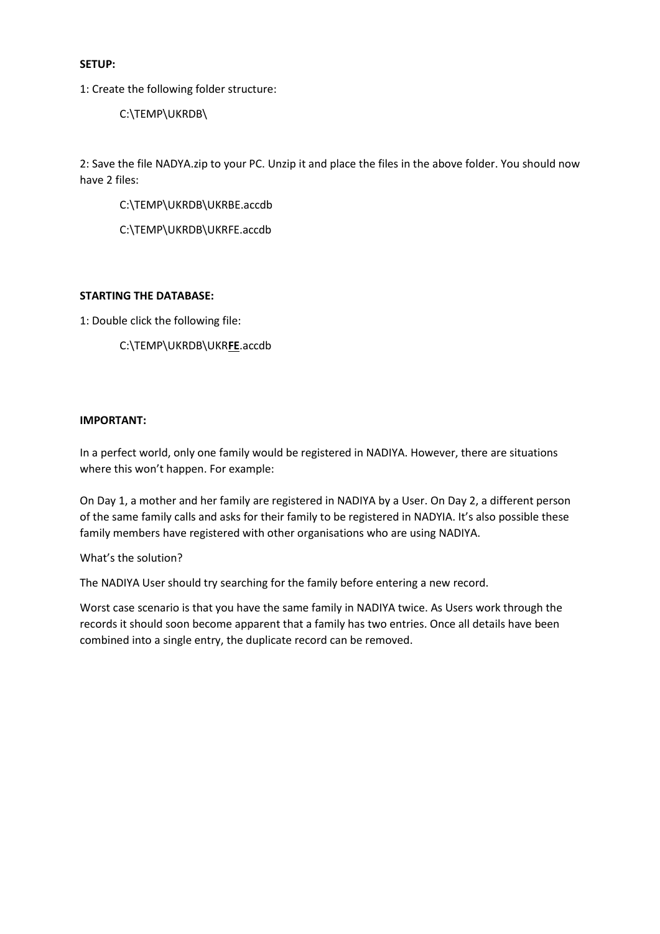### **SETUP:**

1: Create the following folder structure:

C:\TEMP\UKRDB\

2: Save the file NADYA.zip to your PC. Unzip it and place the files in the above folder. You should now have 2 files:

C:\TEMP\UKRDB\UKRBE.accdb

C:\TEMP\UKRDB\UKRFE.accdb

#### **STARTING THE DATABASE:**

1: Double click the following file:

C:\TEMP\UKRDB\UKR**FE**.accdb

### **IMPORTANT:**

In a perfect world, only one family would be registered in NADIYA. However, there are situations where this won't happen. For example:

On Day 1, a mother and her family are registered in NADIYA by a User. On Day 2, a different person of the same family calls and asks for their family to be registered in NADYIA. It's also possible these family members have registered with other organisations who are using NADIYA.

What's the solution?

The NADIYA User should try searching for the family before entering a new record.

Worst case scenario is that you have the same family in NADIYA twice. As Users work through the records it should soon become apparent that a family has two entries. Once all details have been combined into a single entry, the duplicate record can be removed.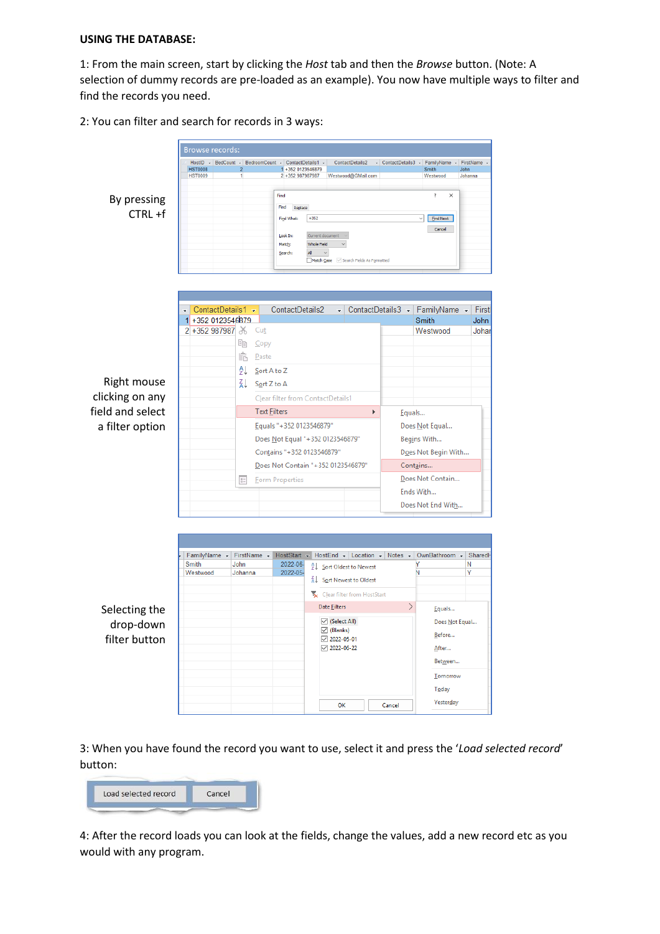# **USING THE DATABASE:**

1: From the main screen, start by clicking the *Host* tab and then the *Browse* button. (Note: A selection of dummy records are pre-loaded as an example). You now have multiple ways to filter and find the records you need.

2: You can filter and search for records in 3 ways:



3: When you have found the record you want to use, select it and press the '*Load selected record*' button:

| Load selected record                                                                                              | Cancel |
|-------------------------------------------------------------------------------------------------------------------|--------|
| the state of the company's state of the state of the state of the state of the state of the state of the state of |        |

4: After the record loads you can look at the fields, change the values, add a new record etc as you would with any program.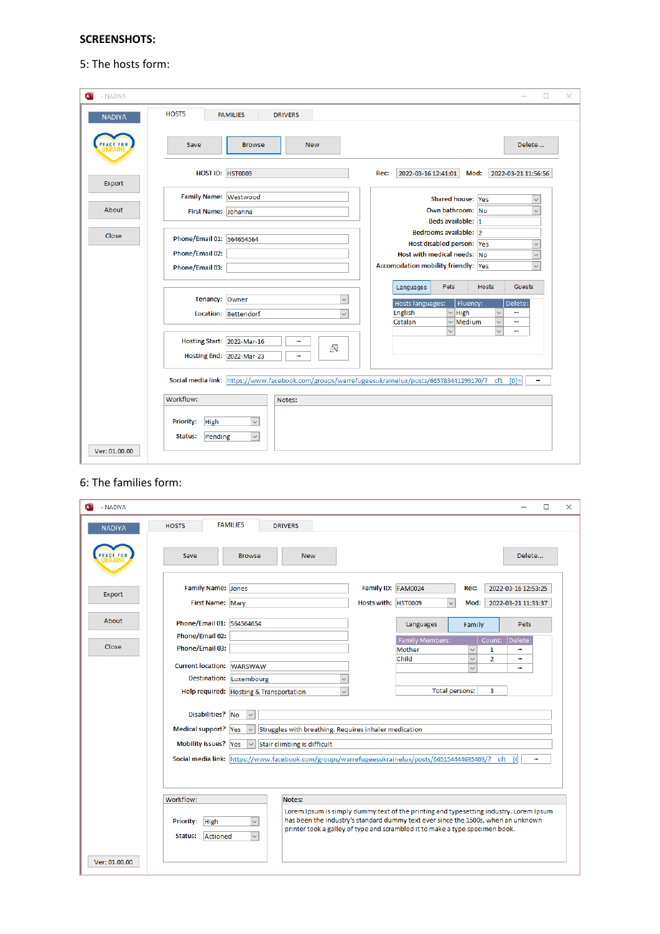# **SCREENSHOTS:**

# 5: The hosts form:

| $\overline{\mathbf{A}}$<br>- NADIYA |                                                                                                  | $\Box$<br>×                                                                              |
|-------------------------------------|--------------------------------------------------------------------------------------------------|------------------------------------------------------------------------------------------|
| <b>NADIYA</b>                       | <b>HOSTS</b><br><b>FAMILIES</b><br><b>DRIVERS</b>                                                |                                                                                          |
|                                     | Save<br><b>Browse</b><br><b>New</b>                                                              | Delete                                                                                   |
| Export                              | HOST ID: HST0009                                                                                 | Rec:<br>2022-03-16 12:41:01<br>Mod:<br>2022-03-21 11:56:56                               |
|                                     | Family Name: Westwood                                                                            | Shared house: Yes<br>$\checkmark$                                                        |
| About                               | First Name: Johanna                                                                              | Own bathroom: No<br>$\checkmark$                                                         |
|                                     |                                                                                                  | Beds available: 1                                                                        |
| Close                               | Phone/Email 01: 564654564                                                                        | Bedrooms available: 2                                                                    |
|                                     | Phone/Email 02:                                                                                  | Host disabled person: Yes<br>$\checkmark$<br>Host with medical needs: No<br>$\checkmark$ |
|                                     | Phone/Email 03:                                                                                  | <b>Accomodation mobility friendly: Yes</b><br>$\ddot{\phantom{0}}$                       |
|                                     |                                                                                                  |                                                                                          |
|                                     |                                                                                                  | <b>Pets</b><br><b>Hosts</b><br><b>Guests</b><br>Languages                                |
|                                     | Tenancy: Owner<br>$\check{~}$                                                                    | Hosts languages:<br>Fluency:<br>Delete:                                                  |
|                                     | Location: Bettendorf<br>$\checkmark$                                                             | $\vee$ High<br>English<br>$\overline{\mathbf{v}}$<br>                                    |
|                                     |                                                                                                  | Catalan<br>$\vee$ Medium<br>$\check{ }$<br><br>$\checkmark$<br>$\checkmark$<br>          |
|                                     | Hosting Start: 2022-Mar-16<br><br>緑<br>Hosting End: 2022-Mar-23<br>                              |                                                                                          |
|                                     | Social media link: https://www.facebook.com/groups/warrefugeesukrainelux/posts/665783441299170/? | $ctt$ $[0]=$<br>                                                                         |
|                                     | Workflow:<br>Notes:                                                                              |                                                                                          |
| Ver: 01.00.00                       | Priority:<br>High<br>$\checkmark$<br>Pending<br>Status:<br>$\checkmark$                          |                                                                                          |
|                                     |                                                                                                  |                                                                                          |

#### 6: The families form:

| - NADIYA<br>$\mathbf{A}$ | $\Box$                                                                                                                                                                                                                                                                                                                                                     | X |
|--------------------------|------------------------------------------------------------------------------------------------------------------------------------------------------------------------------------------------------------------------------------------------------------------------------------------------------------------------------------------------------------|---|
| <b>NADIYA</b>            | <b>FAMILIES</b><br><b>HOSTS</b><br><b>DRIVERS</b>                                                                                                                                                                                                                                                                                                          |   |
|                          | Delete<br>Save<br><b>Browse</b><br><b>New</b>                                                                                                                                                                                                                                                                                                              |   |
| Export                   | Family Name: Jones<br>Family ID: FAM0024<br>2022-03-16 12:53:25<br>Rec:<br>First Name: Mary<br>Hosts with: HST0009<br>Mod:<br>2022-03-21 11:33:37                                                                                                                                                                                                          |   |
| About                    | Phone/Email 01: 564564654<br>Languages<br><b>Pets</b><br>Family                                                                                                                                                                                                                                                                                            |   |
| Close                    | Phone/Email 02:<br><b>Family Members:</b><br>Count: Delete:<br>Phone/Email 03:<br>Mother<br>$\checkmark$<br>1<br>                                                                                                                                                                                                                                          |   |
|                          | $\checkmark$<br>Child<br>$\overline{2}$<br><br>Current location: WARSWAW<br>$\ddot{\phantom{0}}$<br>                                                                                                                                                                                                                                                       |   |
|                          | <b>Destination:</b><br>Luxembourg<br>$\checkmark$<br>$\vee$<br><b>Total persons:</b><br>3<br>Help required: Hosting & Transportation                                                                                                                                                                                                                       |   |
|                          | Disabilities? No<br>Medical support? Yes<br>Struggles with breathing. Requires inhaler medication<br>$\checkmark$<br>Mobility issues? Yes<br>Stair climbing is difficult<br>$\checkmark$<br>Social media link: https://www.facebook.com/groups/warrefugeesukrainelux/posts/665154444695403/? cft [0]<br>                                                   |   |
|                          | Workflow:<br>Notes:<br>Lorem Ipsum is simply dummy text of the printing and typesetting industry. Lorem Ipsum<br>has been the industry's standard dummy text ever since the 1500s, when an unknown<br>$\backsim$<br>Priority:<br>High<br>printer took a galley of type and scrambled it to make a type specimen book.<br>$\backsim$<br>Status:<br>Actioned |   |
| Ver: 01.00.00            |                                                                                                                                                                                                                                                                                                                                                            |   |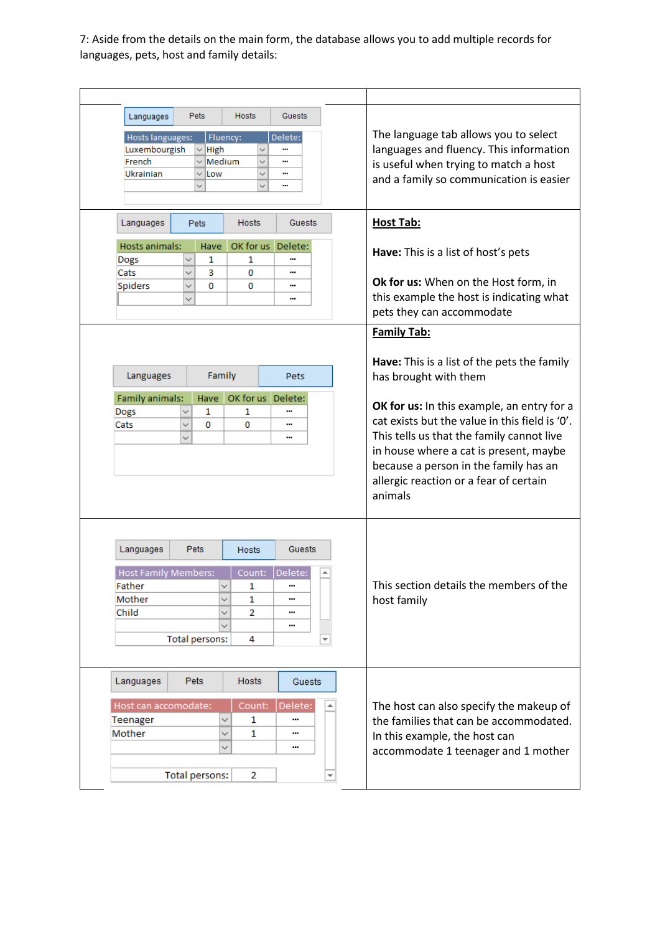7: Aside from the details on the main form, the database allows you to add multiple records for languages, pets, host and family details:

| <b>Hosts</b><br>Guests<br><b>Pets</b><br>Languages<br>The language tab allows you to select<br>Fluency:<br>Hosts languages:<br>Delete:<br>languages and fluency. This information<br>Luxembourgish<br>$\vee$ High<br><br>$\checkmark$<br>French<br>$\scriptstyle\mathtt{\sim}$ Medium<br><br>is useful when trying to match a host<br>Ukrainian<br>Low<br><br>and a family so communication is easier<br><br><b>Host Tab:</b><br>Languages<br><b>Hosts</b><br>Guests<br><b>Pets</b><br>Hosts animals:<br>OK for us Delete:<br>Have<br>Have: This is a list of host's pets<br>Dogs<br>$\checkmark$<br>1<br>1<br><br>Cats<br>3<br>0<br>$\checkmark$<br><br>Ok for us: When on the Host form, in<br><b>Spiders</b><br>0<br>0<br>$\checkmark$<br><br>this example the host is indicating what<br>$\checkmark$<br><br>pets they can accommodate<br><b>Family Tab:</b><br>Have: This is a list of the pets the family<br>Family<br>Languages<br>has brought with them<br>Pets<br>OK for us Delete:<br>Family animals:<br>Have<br>OK for us: In this example, an entry for a<br>1<br>1<br>Dogs<br>cat exists but the value in this field is '0'.<br>0<br>0<br>Cats<br>$\checkmark$<br><br>This tells us that the family cannot live<br><br>in house where a cat is present, maybe<br>because a person in the family has an<br>allergic reaction or a fear of certain<br>animals<br>Languages<br><b>Pets</b><br>Guests<br>Hosts<br><b>Host Family Members:</b><br>Delete:<br>Count:<br>This section details the members of the<br>Father<br>1<br><br>Mother<br>1<br>host family<br><br>Child<br>2<br><br><br><b>Total persons:</b><br>4<br>Languages<br><b>Pets</b><br>Hosts<br>Guests<br>Count:<br>Delete:<br>Host can accomodate:<br>The host can also specify the makeup of<br>∸<br>Teenager<br>$\checkmark$<br>1<br><br>the families that can be accommodated.<br>Mother<br>1<br>$\checkmark$<br><br>In this example, the host can<br>✓<br><br>accommodate 1 teenager and 1 mother<br><b>Total persons:</b><br>$\overline{2}$<br>▼ |  |  |  |  |
|--------------------------------------------------------------------------------------------------------------------------------------------------------------------------------------------------------------------------------------------------------------------------------------------------------------------------------------------------------------------------------------------------------------------------------------------------------------------------------------------------------------------------------------------------------------------------------------------------------------------------------------------------------------------------------------------------------------------------------------------------------------------------------------------------------------------------------------------------------------------------------------------------------------------------------------------------------------------------------------------------------------------------------------------------------------------------------------------------------------------------------------------------------------------------------------------------------------------------------------------------------------------------------------------------------------------------------------------------------------------------------------------------------------------------------------------------------------------------------------------------------------------------------------------------------------------------------------------------------------------------------------------------------------------------------------------------------------------------------------------------------------------------------------------------------------------------------------------------------------------------------------------------------------------------------------------------------------------------------------------------------------------------------|--|--|--|--|
|                                                                                                                                                                                                                                                                                                                                                                                                                                                                                                                                                                                                                                                                                                                                                                                                                                                                                                                                                                                                                                                                                                                                                                                                                                                                                                                                                                                                                                                                                                                                                                                                                                                                                                                                                                                                                                                                                                                                                                                                                                |  |  |  |  |
|                                                                                                                                                                                                                                                                                                                                                                                                                                                                                                                                                                                                                                                                                                                                                                                                                                                                                                                                                                                                                                                                                                                                                                                                                                                                                                                                                                                                                                                                                                                                                                                                                                                                                                                                                                                                                                                                                                                                                                                                                                |  |  |  |  |
|                                                                                                                                                                                                                                                                                                                                                                                                                                                                                                                                                                                                                                                                                                                                                                                                                                                                                                                                                                                                                                                                                                                                                                                                                                                                                                                                                                                                                                                                                                                                                                                                                                                                                                                                                                                                                                                                                                                                                                                                                                |  |  |  |  |
|                                                                                                                                                                                                                                                                                                                                                                                                                                                                                                                                                                                                                                                                                                                                                                                                                                                                                                                                                                                                                                                                                                                                                                                                                                                                                                                                                                                                                                                                                                                                                                                                                                                                                                                                                                                                                                                                                                                                                                                                                                |  |  |  |  |
|                                                                                                                                                                                                                                                                                                                                                                                                                                                                                                                                                                                                                                                                                                                                                                                                                                                                                                                                                                                                                                                                                                                                                                                                                                                                                                                                                                                                                                                                                                                                                                                                                                                                                                                                                                                                                                                                                                                                                                                                                                |  |  |  |  |
|                                                                                                                                                                                                                                                                                                                                                                                                                                                                                                                                                                                                                                                                                                                                                                                                                                                                                                                                                                                                                                                                                                                                                                                                                                                                                                                                                                                                                                                                                                                                                                                                                                                                                                                                                                                                                                                                                                                                                                                                                                |  |  |  |  |
|                                                                                                                                                                                                                                                                                                                                                                                                                                                                                                                                                                                                                                                                                                                                                                                                                                                                                                                                                                                                                                                                                                                                                                                                                                                                                                                                                                                                                                                                                                                                                                                                                                                                                                                                                                                                                                                                                                                                                                                                                                |  |  |  |  |
|                                                                                                                                                                                                                                                                                                                                                                                                                                                                                                                                                                                                                                                                                                                                                                                                                                                                                                                                                                                                                                                                                                                                                                                                                                                                                                                                                                                                                                                                                                                                                                                                                                                                                                                                                                                                                                                                                                                                                                                                                                |  |  |  |  |
|                                                                                                                                                                                                                                                                                                                                                                                                                                                                                                                                                                                                                                                                                                                                                                                                                                                                                                                                                                                                                                                                                                                                                                                                                                                                                                                                                                                                                                                                                                                                                                                                                                                                                                                                                                                                                                                                                                                                                                                                                                |  |  |  |  |
|                                                                                                                                                                                                                                                                                                                                                                                                                                                                                                                                                                                                                                                                                                                                                                                                                                                                                                                                                                                                                                                                                                                                                                                                                                                                                                                                                                                                                                                                                                                                                                                                                                                                                                                                                                                                                                                                                                                                                                                                                                |  |  |  |  |
|                                                                                                                                                                                                                                                                                                                                                                                                                                                                                                                                                                                                                                                                                                                                                                                                                                                                                                                                                                                                                                                                                                                                                                                                                                                                                                                                                                                                                                                                                                                                                                                                                                                                                                                                                                                                                                                                                                                                                                                                                                |  |  |  |  |
|                                                                                                                                                                                                                                                                                                                                                                                                                                                                                                                                                                                                                                                                                                                                                                                                                                                                                                                                                                                                                                                                                                                                                                                                                                                                                                                                                                                                                                                                                                                                                                                                                                                                                                                                                                                                                                                                                                                                                                                                                                |  |  |  |  |
|                                                                                                                                                                                                                                                                                                                                                                                                                                                                                                                                                                                                                                                                                                                                                                                                                                                                                                                                                                                                                                                                                                                                                                                                                                                                                                                                                                                                                                                                                                                                                                                                                                                                                                                                                                                                                                                                                                                                                                                                                                |  |  |  |  |
|                                                                                                                                                                                                                                                                                                                                                                                                                                                                                                                                                                                                                                                                                                                                                                                                                                                                                                                                                                                                                                                                                                                                                                                                                                                                                                                                                                                                                                                                                                                                                                                                                                                                                                                                                                                                                                                                                                                                                                                                                                |  |  |  |  |
|                                                                                                                                                                                                                                                                                                                                                                                                                                                                                                                                                                                                                                                                                                                                                                                                                                                                                                                                                                                                                                                                                                                                                                                                                                                                                                                                                                                                                                                                                                                                                                                                                                                                                                                                                                                                                                                                                                                                                                                                                                |  |  |  |  |
|                                                                                                                                                                                                                                                                                                                                                                                                                                                                                                                                                                                                                                                                                                                                                                                                                                                                                                                                                                                                                                                                                                                                                                                                                                                                                                                                                                                                                                                                                                                                                                                                                                                                                                                                                                                                                                                                                                                                                                                                                                |  |  |  |  |
|                                                                                                                                                                                                                                                                                                                                                                                                                                                                                                                                                                                                                                                                                                                                                                                                                                                                                                                                                                                                                                                                                                                                                                                                                                                                                                                                                                                                                                                                                                                                                                                                                                                                                                                                                                                                                                                                                                                                                                                                                                |  |  |  |  |
|                                                                                                                                                                                                                                                                                                                                                                                                                                                                                                                                                                                                                                                                                                                                                                                                                                                                                                                                                                                                                                                                                                                                                                                                                                                                                                                                                                                                                                                                                                                                                                                                                                                                                                                                                                                                                                                                                                                                                                                                                                |  |  |  |  |
|                                                                                                                                                                                                                                                                                                                                                                                                                                                                                                                                                                                                                                                                                                                                                                                                                                                                                                                                                                                                                                                                                                                                                                                                                                                                                                                                                                                                                                                                                                                                                                                                                                                                                                                                                                                                                                                                                                                                                                                                                                |  |  |  |  |
|                                                                                                                                                                                                                                                                                                                                                                                                                                                                                                                                                                                                                                                                                                                                                                                                                                                                                                                                                                                                                                                                                                                                                                                                                                                                                                                                                                                                                                                                                                                                                                                                                                                                                                                                                                                                                                                                                                                                                                                                                                |  |  |  |  |
|                                                                                                                                                                                                                                                                                                                                                                                                                                                                                                                                                                                                                                                                                                                                                                                                                                                                                                                                                                                                                                                                                                                                                                                                                                                                                                                                                                                                                                                                                                                                                                                                                                                                                                                                                                                                                                                                                                                                                                                                                                |  |  |  |  |
|                                                                                                                                                                                                                                                                                                                                                                                                                                                                                                                                                                                                                                                                                                                                                                                                                                                                                                                                                                                                                                                                                                                                                                                                                                                                                                                                                                                                                                                                                                                                                                                                                                                                                                                                                                                                                                                                                                                                                                                                                                |  |  |  |  |
|                                                                                                                                                                                                                                                                                                                                                                                                                                                                                                                                                                                                                                                                                                                                                                                                                                                                                                                                                                                                                                                                                                                                                                                                                                                                                                                                                                                                                                                                                                                                                                                                                                                                                                                                                                                                                                                                                                                                                                                                                                |  |  |  |  |
|                                                                                                                                                                                                                                                                                                                                                                                                                                                                                                                                                                                                                                                                                                                                                                                                                                                                                                                                                                                                                                                                                                                                                                                                                                                                                                                                                                                                                                                                                                                                                                                                                                                                                                                                                                                                                                                                                                                                                                                                                                |  |  |  |  |
|                                                                                                                                                                                                                                                                                                                                                                                                                                                                                                                                                                                                                                                                                                                                                                                                                                                                                                                                                                                                                                                                                                                                                                                                                                                                                                                                                                                                                                                                                                                                                                                                                                                                                                                                                                                                                                                                                                                                                                                                                                |  |  |  |  |
|                                                                                                                                                                                                                                                                                                                                                                                                                                                                                                                                                                                                                                                                                                                                                                                                                                                                                                                                                                                                                                                                                                                                                                                                                                                                                                                                                                                                                                                                                                                                                                                                                                                                                                                                                                                                                                                                                                                                                                                                                                |  |  |  |  |
|                                                                                                                                                                                                                                                                                                                                                                                                                                                                                                                                                                                                                                                                                                                                                                                                                                                                                                                                                                                                                                                                                                                                                                                                                                                                                                                                                                                                                                                                                                                                                                                                                                                                                                                                                                                                                                                                                                                                                                                                                                |  |  |  |  |
|                                                                                                                                                                                                                                                                                                                                                                                                                                                                                                                                                                                                                                                                                                                                                                                                                                                                                                                                                                                                                                                                                                                                                                                                                                                                                                                                                                                                                                                                                                                                                                                                                                                                                                                                                                                                                                                                                                                                                                                                                                |  |  |  |  |
|                                                                                                                                                                                                                                                                                                                                                                                                                                                                                                                                                                                                                                                                                                                                                                                                                                                                                                                                                                                                                                                                                                                                                                                                                                                                                                                                                                                                                                                                                                                                                                                                                                                                                                                                                                                                                                                                                                                                                                                                                                |  |  |  |  |
|                                                                                                                                                                                                                                                                                                                                                                                                                                                                                                                                                                                                                                                                                                                                                                                                                                                                                                                                                                                                                                                                                                                                                                                                                                                                                                                                                                                                                                                                                                                                                                                                                                                                                                                                                                                                                                                                                                                                                                                                                                |  |  |  |  |
|                                                                                                                                                                                                                                                                                                                                                                                                                                                                                                                                                                                                                                                                                                                                                                                                                                                                                                                                                                                                                                                                                                                                                                                                                                                                                                                                                                                                                                                                                                                                                                                                                                                                                                                                                                                                                                                                                                                                                                                                                                |  |  |  |  |
|                                                                                                                                                                                                                                                                                                                                                                                                                                                                                                                                                                                                                                                                                                                                                                                                                                                                                                                                                                                                                                                                                                                                                                                                                                                                                                                                                                                                                                                                                                                                                                                                                                                                                                                                                                                                                                                                                                                                                                                                                                |  |  |  |  |
|                                                                                                                                                                                                                                                                                                                                                                                                                                                                                                                                                                                                                                                                                                                                                                                                                                                                                                                                                                                                                                                                                                                                                                                                                                                                                                                                                                                                                                                                                                                                                                                                                                                                                                                                                                                                                                                                                                                                                                                                                                |  |  |  |  |
|                                                                                                                                                                                                                                                                                                                                                                                                                                                                                                                                                                                                                                                                                                                                                                                                                                                                                                                                                                                                                                                                                                                                                                                                                                                                                                                                                                                                                                                                                                                                                                                                                                                                                                                                                                                                                                                                                                                                                                                                                                |  |  |  |  |
|                                                                                                                                                                                                                                                                                                                                                                                                                                                                                                                                                                                                                                                                                                                                                                                                                                                                                                                                                                                                                                                                                                                                                                                                                                                                                                                                                                                                                                                                                                                                                                                                                                                                                                                                                                                                                                                                                                                                                                                                                                |  |  |  |  |
|                                                                                                                                                                                                                                                                                                                                                                                                                                                                                                                                                                                                                                                                                                                                                                                                                                                                                                                                                                                                                                                                                                                                                                                                                                                                                                                                                                                                                                                                                                                                                                                                                                                                                                                                                                                                                                                                                                                                                                                                                                |  |  |  |  |
|                                                                                                                                                                                                                                                                                                                                                                                                                                                                                                                                                                                                                                                                                                                                                                                                                                                                                                                                                                                                                                                                                                                                                                                                                                                                                                                                                                                                                                                                                                                                                                                                                                                                                                                                                                                                                                                                                                                                                                                                                                |  |  |  |  |
|                                                                                                                                                                                                                                                                                                                                                                                                                                                                                                                                                                                                                                                                                                                                                                                                                                                                                                                                                                                                                                                                                                                                                                                                                                                                                                                                                                                                                                                                                                                                                                                                                                                                                                                                                                                                                                                                                                                                                                                                                                |  |  |  |  |
|                                                                                                                                                                                                                                                                                                                                                                                                                                                                                                                                                                                                                                                                                                                                                                                                                                                                                                                                                                                                                                                                                                                                                                                                                                                                                                                                                                                                                                                                                                                                                                                                                                                                                                                                                                                                                                                                                                                                                                                                                                |  |  |  |  |
|                                                                                                                                                                                                                                                                                                                                                                                                                                                                                                                                                                                                                                                                                                                                                                                                                                                                                                                                                                                                                                                                                                                                                                                                                                                                                                                                                                                                                                                                                                                                                                                                                                                                                                                                                                                                                                                                                                                                                                                                                                |  |  |  |  |
|                                                                                                                                                                                                                                                                                                                                                                                                                                                                                                                                                                                                                                                                                                                                                                                                                                                                                                                                                                                                                                                                                                                                                                                                                                                                                                                                                                                                                                                                                                                                                                                                                                                                                                                                                                                                                                                                                                                                                                                                                                |  |  |  |  |
|                                                                                                                                                                                                                                                                                                                                                                                                                                                                                                                                                                                                                                                                                                                                                                                                                                                                                                                                                                                                                                                                                                                                                                                                                                                                                                                                                                                                                                                                                                                                                                                                                                                                                                                                                                                                                                                                                                                                                                                                                                |  |  |  |  |
|                                                                                                                                                                                                                                                                                                                                                                                                                                                                                                                                                                                                                                                                                                                                                                                                                                                                                                                                                                                                                                                                                                                                                                                                                                                                                                                                                                                                                                                                                                                                                                                                                                                                                                                                                                                                                                                                                                                                                                                                                                |  |  |  |  |
|                                                                                                                                                                                                                                                                                                                                                                                                                                                                                                                                                                                                                                                                                                                                                                                                                                                                                                                                                                                                                                                                                                                                                                                                                                                                                                                                                                                                                                                                                                                                                                                                                                                                                                                                                                                                                                                                                                                                                                                                                                |  |  |  |  |
|                                                                                                                                                                                                                                                                                                                                                                                                                                                                                                                                                                                                                                                                                                                                                                                                                                                                                                                                                                                                                                                                                                                                                                                                                                                                                                                                                                                                                                                                                                                                                                                                                                                                                                                                                                                                                                                                                                                                                                                                                                |  |  |  |  |
|                                                                                                                                                                                                                                                                                                                                                                                                                                                                                                                                                                                                                                                                                                                                                                                                                                                                                                                                                                                                                                                                                                                                                                                                                                                                                                                                                                                                                                                                                                                                                                                                                                                                                                                                                                                                                                                                                                                                                                                                                                |  |  |  |  |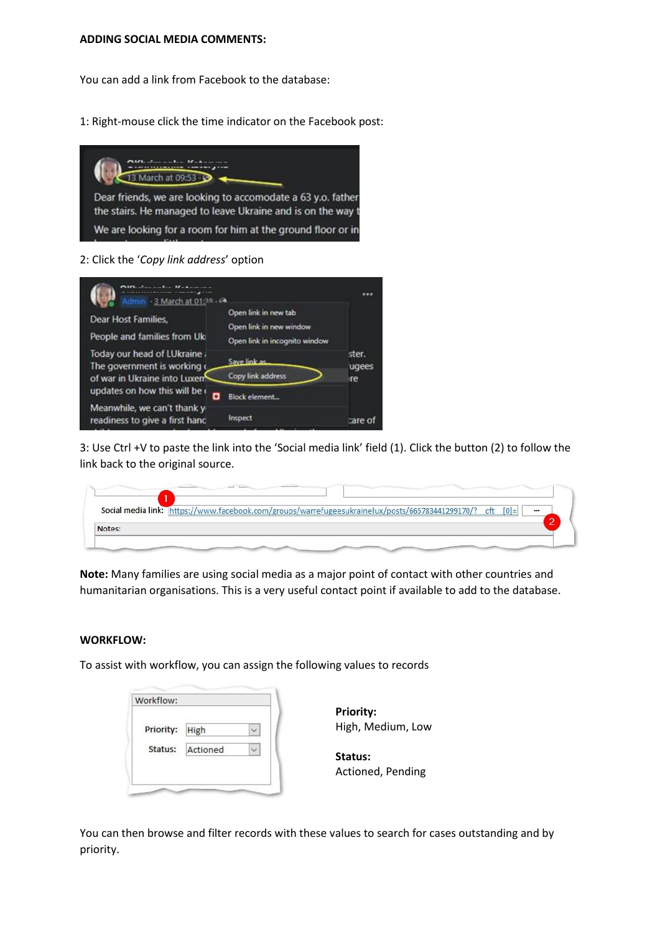#### **ADDING SOCIAL MEDIA COMMENTS:**

You can add a link from Facebook to the database:

1: Right-mouse click the time indicator on the Facebook post:



2: Click the '*Copy link address*' option



3: Use Ctrl +V to paste the link into the 'Social media link' field (1). Click the button (2) to follow the link back to the original source.

|        | Social media link: https://www.facebook.com/groups/warrefugeesukrainelux/posts/665783441299170/? cft [0]= | $\cdots$ |
|--------|-----------------------------------------------------------------------------------------------------------|----------|
|        |                                                                                                           |          |
| Notes: |                                                                                                           |          |

**Note:** Many families are using social media as a major point of contact with other countries and humanitarian organisations. This is a very useful contact point if available to add to the database.

#### **WORKFLOW:**

To assist with workflow, you can assign the following values to records

| Priority: | <b>High</b> |  |
|-----------|-------------|--|
| Status:   | Actioned    |  |

**Priority:** High, Medium, Low

**Status:** Actioned, Pending

You can then browse and filter records with these values to search for cases outstanding and by priority.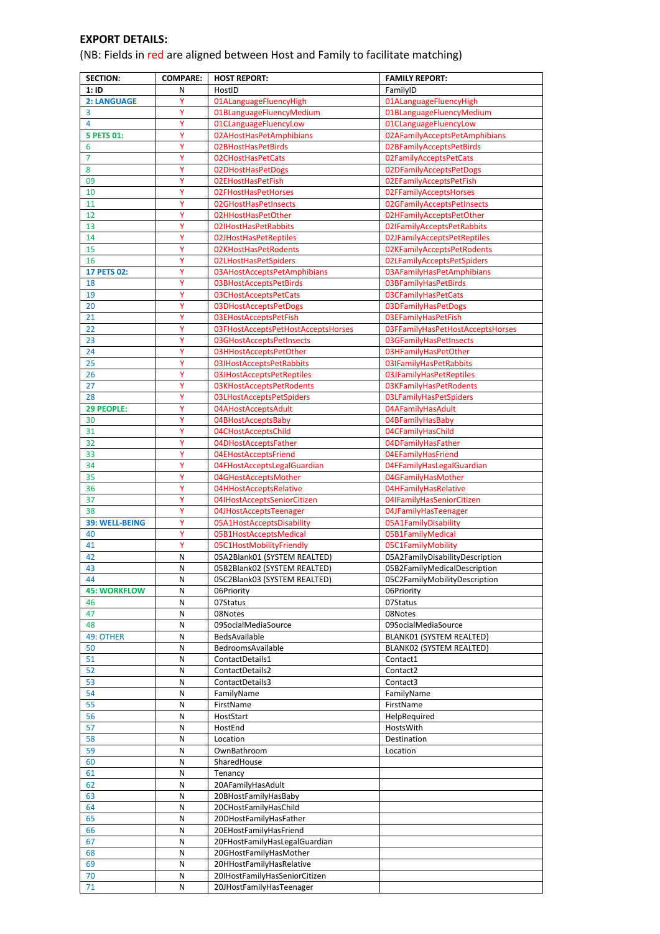# **EXPORT DETAILS:**

(NB: Fields in red are aligned between Host and Family to facilitate matching)

| <b>SECTION:</b>     | <b>COMPARE:</b> | <b>HOST REPORT:</b>                                   | <b>FAMILY REPORT:</b>                             |
|---------------------|-----------------|-------------------------------------------------------|---------------------------------------------------|
| 1:1D                | N               | HostID                                                | FamilyID                                          |
| 2: LANGUAGE         | Ÿ               | 01ALanguageFluencyHigh                                | 01ALanguageFluencyHigh                            |
| 3                   | Y               | 01BLanguageFluencyMedium                              | 01BLanguageFluencyMedium                          |
| 4                   | Y               | 01CLanguageFluencyLow                                 | 01CLanguageFluencyLow                             |
| <b>5 PETS 01:</b>   | Υ               | 02AHostHasPetAmphibians                               | 02AFamilyAcceptsPetAmphibians                     |
| 6                   | Υ               | 02BHostHasPetBirds                                    | 02BFamilyAcceptsPetBirds                          |
| 7                   | Υ               | 02CHostHasPetCats                                     | 02FamilyAcceptsPetCats                            |
| 8                   | Y               | 02DHostHasPetDogs                                     | 02DFamilyAcceptsPetDogs                           |
| 09                  | Υ               | 02EHostHasPetFish                                     | 02EFamilyAcceptsPetFish                           |
| 10                  | Y               | 02FHostHasPetHorses                                   | 02FFamilyAcceptsHorses                            |
| 11                  | Υ               | 02GHostHasPetInsects                                  | 02GFamilyAcceptsPetInsects                        |
| 12                  | Υ               | 02HHostHasPetOther                                    | 02HFamilyAcceptsPetOther                          |
| 13                  | Υ               | 02IHostHasPetRabbits                                  | 02IFamilyAcceptsPetRabbits                        |
| 14                  | Υ               | 02JHostHasPetReptiles                                 | 02JFamilyAcceptsPetReptiles                       |
| 15                  | Ÿ               | 02KHostHasPetRodents                                  | 02KFamilyAcceptsPetRodents                        |
| 16                  | Υ               | 02LHostHasPetSpiders                                  | 02LFamilyAcceptsPetSpiders                        |
| <b>17 PETS 02:</b>  | Y               | 03AHostAcceptsPetAmphibians                           | 03AFamilyHasPetAmphibians                         |
| 18                  | Υ               | 03BHostAcceptsPetBirds                                | 03BFamilyHasPetBirds                              |
| 19                  | Υ               | 03CHostAcceptsPetCats                                 | 03CFamilyHasPetCats                               |
| 20                  | Υ               | 03DHostAcceptsPetDogs                                 | 03DFamilyHasPetDogs                               |
| 21                  | Υ               | 03EHostAcceptsPetFish                                 | 03EFamilyHasPetFish                               |
| 22                  | Y               | 03FHostAcceptsPetHostAcceptsHorses                    | 03FFamilyHasPetHostAcceptsHorses                  |
| 23                  | Y<br>Y          | 03GHostAcceptsPetInsects                              | 03GFamilyHasPetInsects                            |
| 24<br>25            |                 | 03HHostAcceptsPetOther                                | 03HFamilyHasPetOther                              |
| 26                  | Υ<br>Υ          | 03IHostAcceptsPetRabbits<br>03JHostAcceptsPetReptiles | 03IFamilyHasPetRabbits<br>03JFamilyHasPetReptiles |
| 27                  | Ÿ               | 03KHostAcceptsPetRodents                              | 03KFamilyHasPetRodents                            |
| 28                  | Υ               | 03LHostAcceptsPetSpiders                              | 03LFamilyHasPetSpiders                            |
| 29 PEOPLE:          | Y               | 04AHostAcceptsAdult                                   | 04AFamilyHasAdult                                 |
| 30                  | Y               | 04BHostAcceptsBaby                                    | 04BFamilyHasBaby                                  |
| 31                  | Υ               | 04CHostAcceptsChild                                   | 04CFamilyHasChild                                 |
| 32                  | Υ               | 04DHostAcceptsFather                                  | 04DFamilyHasFather                                |
| 33                  | Ÿ               | 04EHostAcceptsFriend                                  | 04EFamilyHasFriend                                |
| 34                  | Ÿ               | 04FHostAcceptsLegalGuardian                           | 04FFamilyHasLegalGuardian                         |
| 35                  | Υ               | 04GHostAcceptsMother                                  | 04GFamilyHasMother                                |
| 36                  | Υ               | 04HHostAcceptsRelative                                | 04HFamilyHasRelative                              |
| 37                  | Y               | 04IHostAcceptsSeniorCitizen                           | 04IFamilyHasSeniorCitizen                         |
| 38                  | Υ               | 04JHostAcceptsTeenager                                | 04JFamilyHasTeenager                              |
| 39: WELL-BEING      | Υ               | 05A1HostAcceptsDisability                             | 05A1FamilyDisability                              |
| 40                  | Y               | 05B1HostAcceptsMedical                                | 05B1FamilyMedical                                 |
| 41                  | Y               | 05C1HostMobilityFriendly                              | 05C1FamilyMobility                                |
| 42                  | N               | 05A2Blank01 (SYSTEM REALTED)                          | 05A2FamilyDisabilityDescription                   |
| 43                  | N               | 05B2Blank02 (SYSTEM REALTED)                          | 05B2FamilyMedicalDescription                      |
| 44                  | N               | 05C2Blank03 (SYSTEM REALTED)                          | 05C2FamilyMobilityDescription                     |
| <b>45: WORKFLOW</b> | N               | 06Priority                                            | 06Priority                                        |
| 46                  | N               | 07Status                                              | 07Status                                          |
| 47                  | N               | 08Notes                                               | 08Notes                                           |
| 48                  | N               | 09SocialMediaSource                                   | 09SocialMediaSource                               |
| 49: OTHER           | N               | BedsAvailable                                         | BLANK01 (SYSTEM REALTED)                          |
| 50                  | N               | BedroomsAvailable                                     | BLANK02 (SYSTEM REALTED)                          |
| 51                  | N               | ContactDetails1                                       | Contact1                                          |
| 52                  | N               | ContactDetails2                                       | Contact2                                          |
| 53                  | N               | ContactDetails3                                       | Contact3                                          |
| 54<br>55            | N<br>N          | FamilyName<br>FirstName                               | FamilyName<br>FirstName                           |
|                     |                 | HostStart                                             |                                                   |
| 56<br>57            | N<br>N          | HostEnd                                               | HelpRequired<br>HostsWith                         |
| 58                  | N               | Location                                              | Destination                                       |
| 59                  | N               | OwnBathroom                                           | Location                                          |
| 60                  | N               | SharedHouse                                           |                                                   |
| 61                  | N               | Tenancy                                               |                                                   |
| 62                  | N               | 20AFamilyHasAdult                                     |                                                   |
| 63                  | N               | 20BHostFamilyHasBaby                                  |                                                   |
| 64                  | N               | 20CHostFamilyHasChild                                 |                                                   |
| 65                  | N               | 20DHostFamilyHasFather                                |                                                   |
| 66                  | N               | 20EHostFamilyHasFriend                                |                                                   |
| 67                  | N               | 20FHostFamilyHasLegalGuardian                         |                                                   |
| 68                  | N               | 20GHostFamilyHasMother                                |                                                   |
| 69                  | N               | 20HHostFamilyHasRelative                              |                                                   |
| 70                  | N               | 20IHostFamilyHasSeniorCitizen                         |                                                   |
| 71                  | N               | 20JHostFamilyHasTeenager                              |                                                   |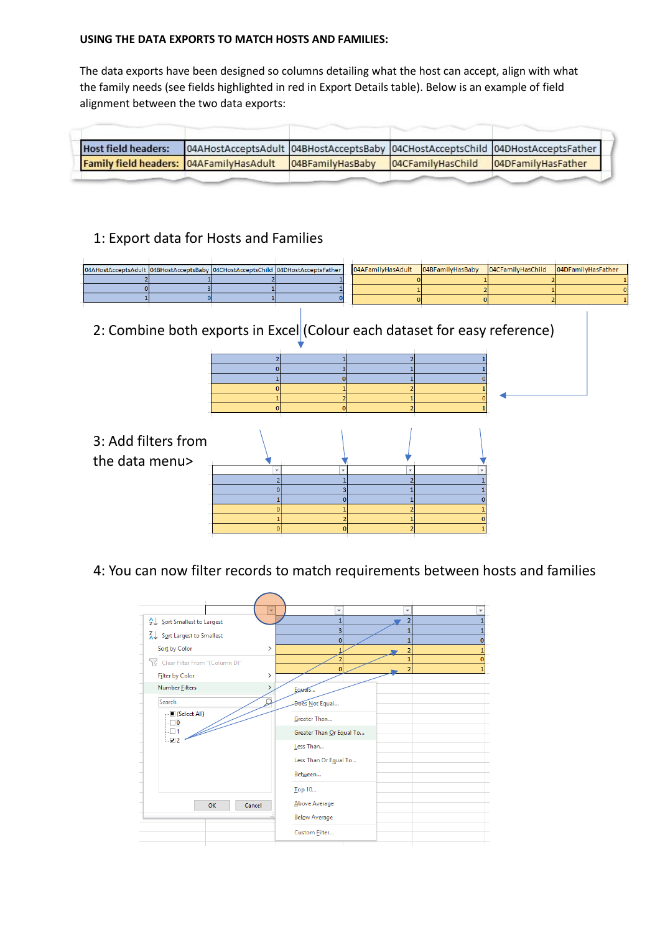# **USING THE DATA EXPORTS TO MATCH HOSTS AND FAMILIES:**

The data exports have been designed so columns detailing what the host can accept, align with what the family needs (see fields highlighted in red in Export Details table). Below is an example of field alignment between the two data exports:

| <b>Host field headers:</b>              |                  |                                      | 04AHostAcceptsAdult 04BHostAcceptsBaby 04CHostAcceptsChild 04DHostAcceptsFather |
|-----------------------------------------|------------------|--------------------------------------|---------------------------------------------------------------------------------|
| Family field headers: 04AFamilyHasAdult | 04BFamilyHasBaby | 04CFamilyHasChild 04DFamilyHasFather |                                                                                 |
|                                         |                  |                                      |                                                                                 |

# 1: Export data for Hosts and Families

|  |  | 04AHostAcceptsAdult  04BHostAcceptsBaby  04CHostAcceptsChild  04DHostAcceptsFather | 04AFamilyHasAdult  04BFamilyHasBaby  04CFamilyHasChild  04DFamilyHasFather |  |  |
|--|--|------------------------------------------------------------------------------------|----------------------------------------------------------------------------|--|--|
|  |  |                                                                                    |                                                                            |  |  |
|  |  |                                                                                    |                                                                            |  |  |
|  |  |                                                                                    |                                                                            |  |  |
|  |  |                                                                                    |                                                                            |  |  |

# 2: Combine both exports in Excel (Colour each dataset for easy reference)

| 3: Add filters from<br>the data menu> |  |
|---------------------------------------|--|
|                                       |  |
|                                       |  |
|                                       |  |
|                                       |  |
|                                       |  |
|                                       |  |
|                                       |  |

# 4: You can now filter records to match requirements between hosts and families